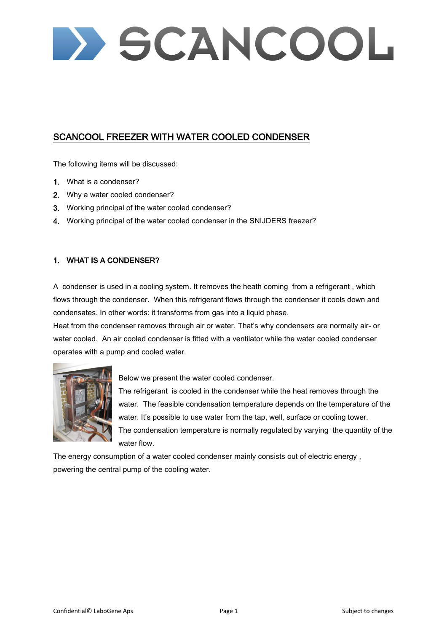> SCANCOOL

## SCANCOOL FREEZER WITH WATER COOLED CONDENSER

The following items will be discussed:

- 1. What is a condenser?
- 2. Why a water cooled condenser?
- 3. Working principal of the water cooled condenser?
- 4. Working principal of the water cooled condenser in the SNIJDERS freezer?

### 1. WHAT IS A CONDENSER?

A condenser is used in a cooling system. It removes the heath coming from a refrigerant , which flows through the condenser. When this refrigerant flows through the condenser it cools down and condensates. In other words: it transforms from gas into a liquid phase.

Heat from the condenser removes through air or water. That's why condensers are normally air- or water cooled. An air cooled condenser is fitted with a ventilator while the water cooled condenser operates with a pump and cooled water.



Below we present the water cooled condenser.

The refrigerant is cooled in the condenser while the heat removes through the water. The feasible condensation temperature depends on the temperature of the water. It's possible to use water from the tap, well, surface or cooling tower. The condensation temperature is normally regulated by varying the quantity of the water flow.

The energy consumption of a water cooled condenser mainly consists out of electric energy , powering the central pump of the cooling water.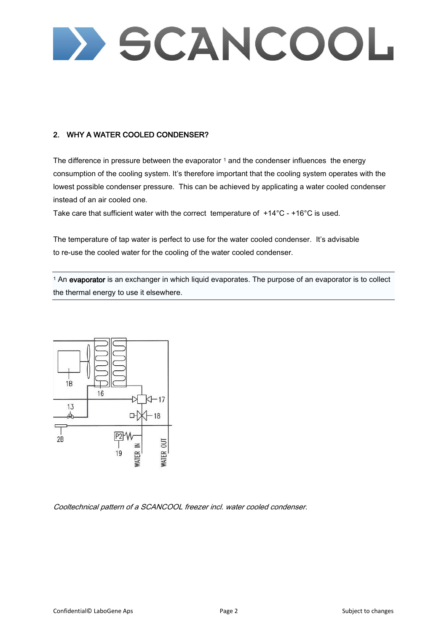# > SCANCOOL

## 2. WHY A WATER COOLED CONDENSER?

The difference in pressure between the evaporator  $1$  and the condenser influences the energy consumption of the cooling system. It's therefore important that the cooling system operates with the lowest possible condenser pressure. This can be achieved by applicating a water cooled condenser instead of an air cooled one.

Take care that sufficient water with the correct temperature of  $+14^{\circ}$ C -  $+16^{\circ}$ C is used.

The temperature of tap water is perfect to use for the water cooled condenser. It's advisable to re-use the cooled water for the cooling of the water cooled condenser.

<sup>1</sup> An evaporator is an exchanger in which liquid evaporates. The purpose of an evaporator is to collect the thermal energy to use it elsewhere.



Cooltechnical pattern of a SCANCOOL freezer incl. water cooled condenser.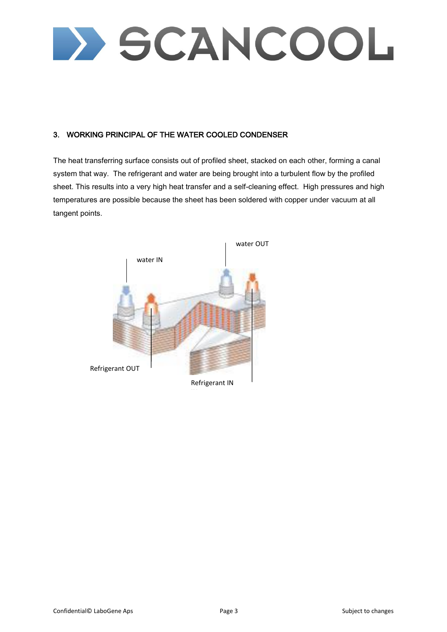D SCANCOOL

## 3. WORKING PRINCIPAL OF THE WATER COOLED CONDENSER

The heat transferring surface consists out of profiled sheet, stacked on each other, forming a canal system that way. The refrigerant and water are being brought into a turbulent flow by the profiled sheet. This results into a very high heat transfer and a self-cleaning effect. High pressures and high temperatures are possible because the sheet has been soldered with copper under vacuum at all tangent points.

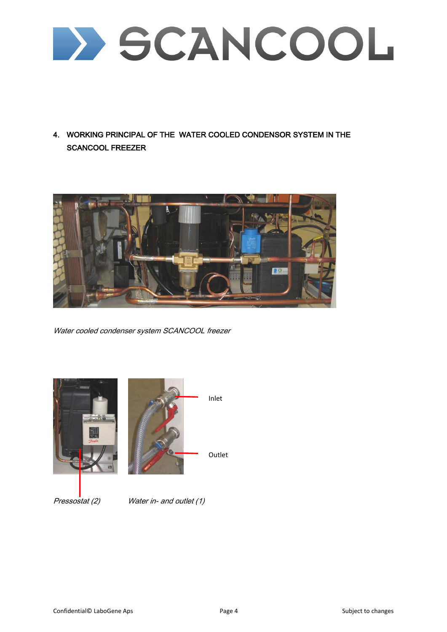D SCANCOOL

4. WORKING PRINCIPAL OF THE WATER COOLED CONDENSOR SYSTEM IN THE SCANCOOL FREEZER



Water cooled condenser system SCANCOOL freezer





Pressostat (2) Water in- and outlet (1)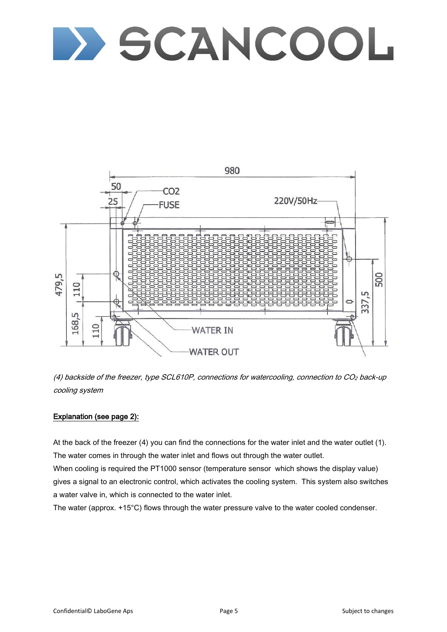# **DESCANCOOL**



(4) backside of the freezer, type SCL610P, connections for watercooling, connection to CO<sup>2</sup> back-up cooling system

### Explanation (see page 2):

At the back of the freezer (4) you can find the connections for the water inlet and the water outlet (1). The water comes in through the water inlet and flows out through the water outlet.

When cooling is required the PT1000 sensor (temperature sensor which shows the display value) gives a signal to an electronic control, which activates the cooling system. This system also switches a water valve in, which is connected to the water inlet.

The water (approx. +15°C) flows through the water pressure valve to the water cooled condenser.